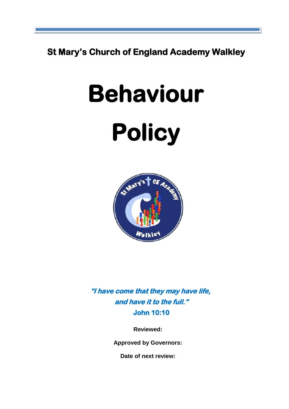**St Mary's Church of England Academy Walkley**

# **Behaviour**





**"I have come that they may have life, and have it to the full." John 10:10** 

**Reviewed:** 

**Approved by Governors:**

**Date of next review:**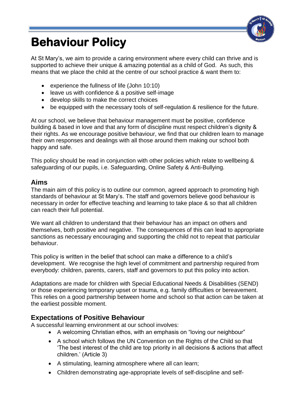

# **Behaviour Policy**

At St Mary's, we aim to provide a caring environment where every child can thrive and is supported to achieve their unique & amazing potential as a child of God. As such, this means that we place the child at the centre of our school practice & want them to:

- experience the fullness of life (John 10:10)
- leave us with confidence & a positive self-image
- develop skills to make the correct choices
- be equipped with the necessary tools of self-regulation & resilience for the future.

At our school, we believe that behaviour management must be positive, confidence building & based in love and that any form of discipline must respect children's dignity & their rights. As we encourage positive behaviour, we find that our children learn to manage their own responses and dealings with all those around them making our school both happy and safe.

This policy should be read in conjunction with other policies which relate to wellbeing & safeguarding of our pupils, i.e. Safeguarding, Online Safety & Anti-Bullying.

### **Aims**

The main aim of this policy is to outline our common, agreed approach to promoting high standards of behaviour at St Mary's. The staff and governors believe good behaviour is necessary in order for effective teaching and learning to take place & so that all children can reach their full potential.

We want all children to understand that their behaviour has an impact on others and themselves, both positive and negative. The consequences of this can lead to appropriate sanctions as necessary encouraging and supporting the child not to repeat that particular behaviour.

This policy is written in the belief that school can make a difference to a child's development. We recognise the high level of commitment and partnership required from everybody: children, parents, carers, staff and governors to put this policy into action.

Adaptations are made for children with Special Educational Needs & Disabilities (SEND) or those experiencing temporary upset or trauma, e.g. family difficulties or bereavement. This relies on a good partnership between home and school so that action can be taken at the earliest possible moment.

# **Expectations of Positive Behaviour**

A successful learning environment at our school involves:

- A welcoming Christian ethos, with an emphasis on "loving our neighbour"
- A school which follows the UN Convention on the Rights of the Child so that 'The best interest of the child are top priority in all decisions & actions that affect children.' (Article 3)
- A stimulating, learning atmosphere where all can learn;
- Children demonstrating age-appropriate levels of self-discipline and self-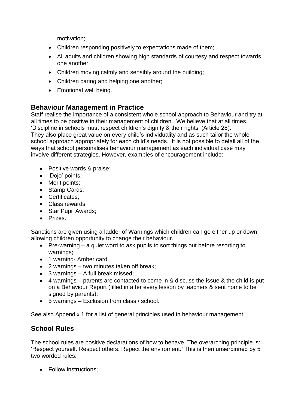motivation;

- Children responding positively to expectations made of them;
- All adults and children showing high standards of courtesy and respect towards one another;
- Children moving calmly and sensibly around the building;
- Children caring and helping one another;
- Emotional well being.

# **Behaviour Management in Practice**

Staff realise the importance of a consistent whole school approach to Behaviour and try at all times to be positive in their management of children. We believe that at all times, 'Discipline in schools must respect children's dignity & their rights' (Article 28). They also place great value on every child's individuality and as such tailor the whole school approach appropriately for each child's needs. It is not possible to detail all of the ways that school personalises behaviour management as each individual case may involve different strategies. However, examples of encouragement include:

- Positive words & praise:
- 'Dojo' points;
- Merit points;
- Stamp Cards;
- Certificates;
- Class rewards;
- Star Pupil Awards:
- **•** Prizes.

Sanctions are given using a ladder of Warnings which children can go either up or down allowing children opportunity to change their behaviour.

- Pre-warning a quiet word to ask pupils to sort things out before resorting to warnings;
- 1 warning- Amber card
- 2 warnings two minutes taken off break;
- 3 warnings A full break missed;
- 4 warnings parents are contacted to come in & discuss the issue & the child is put on a Behaviour Report (filled in after every lesson by teachers & sent home to be signed by parents);
- 5 warnings Exclusion from class / school.

See also Appendix 1 for a list of general principles used in behaviour management.

# **School Rules**

The school rules are positive declarations of how to behave. The overarching principle is: 'Respect yourself. Respect others. Repect the enviroment.' This is then unserpinned by 5 two worded rules:

• Follow instructions: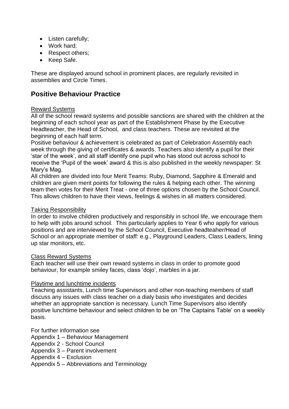- Listen carefully;
- Work hard:
- Respect others;
- Keep Safe.

These are displayed around school in prominent places, are regularly revisited in assemblies and Circle Times.

# **Positive Behaviour Practice**

#### Reward Systems

All of the school reward systems and possible sanctions are shared with the children at the beginning of each school year as part of the Establishment Phase by the Executive Headteacher, the Head of School, and class teachers. These are revisited at the beginning of each half term.

Positive behaviour & achievement is celebrated as part of Celebration Assembly each week through the giving of certificates & awards. Teachers also identify a pupil for their 'star of the week', and all staff identify one pupil who has stood out across school to receive the 'Pupil of the week' award & this is also published in the weekly newspaper: St Mary's Mag.

All children are divided into four Merit Teams: Ruby, Diamond, Sapphire & Emerald and children are given merit points for following the rules & helping each other. The winning team then votes for their Merit Treat - one of three options chosen by the School Council. This allows children to have their views, feelings & wishes in all matters considered.

#### Taking Responsibility

In order to involve children productively and responsibly in school life, we encourage them to help with jobs around school. This particularly applies to Year 6 who apply for various positions and are interviewed by the School Council, Executive headteaher/Head of School or an appropriate member of staff: e.g., Playground Leaders, Class Leaders, lining up star monitors, etc.

#### Class Reward Systems

Each teacher will use their own reward systems in class in order to promote good behaviour, for example smiley faces, class 'dojo', marbles in a jar.

#### Playtime and lunchtime incidents

Teaching assistants, Lunch time Supervisors and other non-teaching members of staff discuss any issues with class teacher on a dialy basis who investigates and decides whether an appropriate sanction is necessary. Lunch Time Supervisors also identify positive lunchtime behaviour and select children to be on 'The Captains Table' on a weekly basis.

For further information see

- Appendix 1 Behaviour Management
- Appendix 2 School Council
- Appendix 3 Parent involvement
- Appendix 4 Exclusion

Appendix 5 – Abbreviations and Terminology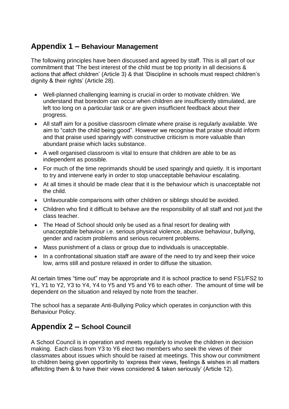# **Appendix 1 – Behaviour Management**

The following principles have been discussed and agreed by staff. This is all part of our commitment that 'The best interest of the child must be top priority in all decisions & actions that affect children' (Article 3) & that 'Discipline in schools must respect children's dignity & their rights' (Article 28).

- Well-planned challenging learning is crucial in order to motivate children. We understand that boredom can occur when children are insufficiently stimulated, are left too long on a particular task or are given insufficient feedback about their progress.
- All staff aim for a positive classroom climate where praise is regularly available. We aim to "catch the child being good". However we recognise that praise should inform and that praise used sparingly with constructive criticism is more valuable than abundant praise which lacks substance.
- A well organised classroom is vital to ensure that children are able to be as independent as possible.
- For much of the time reprimands should be used sparingly and quietly. It is important to try and intervene early in order to stop unacceptable behaviour escalating.
- At all times it should be made clear that it is the behaviour which is unacceptable not the child.
- Unfavourable comparisons with other children or siblings should be avoided.
- Children who find it difficult to behave are the responsibility of all staff and not just the class teacher.
- The Head of School should only be used as a final resort for dealing with unacceptable behaviour i.e. serious physical violence, abusive behaviour, bullying, gender and racism problems and serious recurrent problems.
- Mass punishment of a class or group due to individuals is unacceptable.
- In a confrontational situation staff are aware of the need to try and keep their voice low, arms still and posture relaxed in order to diffuse the situation.

At certain times "time out" may be appropriate and it is school practice to send FS1/FS2 to Y1, Y1 to Y2, Y3 to Y4, Y4 to Y5 and Y5 and Y6 to each other. The amount of time will be dependent on the situation and relayed by note from the teacher.

The school has a separate Anti-Bullying Policy which operates in conjunction with this Behaviour Policy.

# **Appendix 2 – School Council**

A School Council is in operation and meets regularly to involve the children in decision making. Each class from Y3 to Y6 elect two members who seek the views of their classmates about issues which should be raised at meetings. This show our commitment to children being given opportinity to 'express their views, feelings & wishes in all matters affetcting them & to have their views considered & taken seriously' (Article 12).